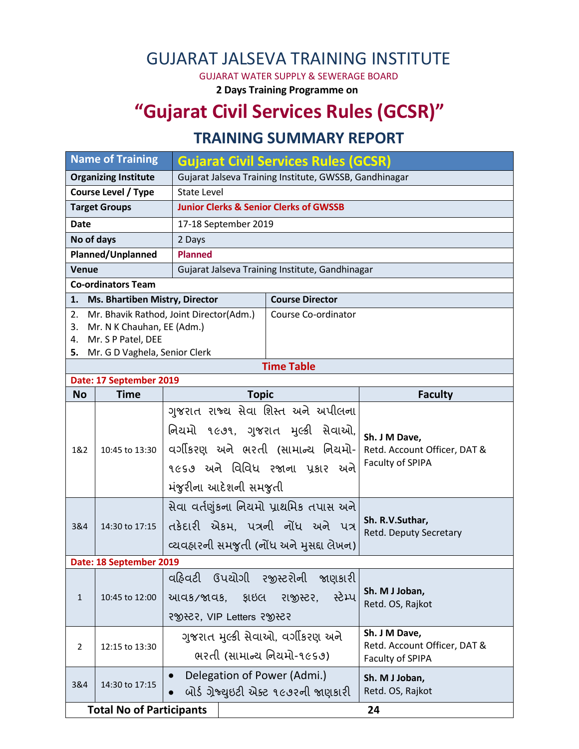## GUJARAT JALSEVA TRAINING INSTITUTE

GUJARAT WATER SUPPLY & SEWERAGE BOARD

**2 Days Training Programme on**

# **"Gujarat Civil Services Rules (GCSR)"**

## **TRAINING SUMMARY REPORT**

| <b>Name of Training</b>                               |                                   | Gujarat Civil Services Rules (GCSR)                                                                                  |                     |                                                  |  |                |                |                                   |  |                                                                   |  |
|-------------------------------------------------------|-----------------------------------|----------------------------------------------------------------------------------------------------------------------|---------------------|--------------------------------------------------|--|----------------|----------------|-----------------------------------|--|-------------------------------------------------------------------|--|
| <b>Organizing Institute</b>                           |                                   | Gujarat Jalseva Training Institute, GWSSB, Gandhinagar                                                               |                     |                                                  |  |                |                |                                   |  |                                                                   |  |
| <b>Course Level / Type</b>                            |                                   | <b>State Level</b>                                                                                                   |                     |                                                  |  |                |                |                                   |  |                                                                   |  |
| <b>Target Groups</b>                                  |                                   | <b>Junior Clerks &amp; Senior Clerks of GWSSB</b>                                                                    |                     |                                                  |  |                |                |                                   |  |                                                                   |  |
| <b>Date</b>                                           |                                   | 17-18 September 2019                                                                                                 |                     |                                                  |  |                |                |                                   |  |                                                                   |  |
| No of days                                            |                                   | 2 Days                                                                                                               |                     |                                                  |  |                |                |                                   |  |                                                                   |  |
| Planned/Unplanned                                     |                                   | <b>Planned</b>                                                                                                       |                     |                                                  |  |                |                |                                   |  |                                                                   |  |
| <b>Venue</b>                                          |                                   | Gujarat Jalseva Training Institute, Gandhinagar                                                                      |                     |                                                  |  |                |                |                                   |  |                                                                   |  |
| <b>Co-ordinators Team</b>                             |                                   |                                                                                                                      |                     |                                                  |  |                |                |                                   |  |                                                                   |  |
|                                                       | 1. Ms. Bhartiben Mistry, Director | <b>Course Director</b>                                                                                               |                     |                                                  |  |                |                |                                   |  |                                                                   |  |
| 2.                                                    |                                   | Mr. Bhavik Rathod, Joint Director(Adm.)                                                                              | Course Co-ordinator |                                                  |  |                |                |                                   |  |                                                                   |  |
| 3.                                                    | Mr. N K Chauhan, EE (Adm.)        |                                                                                                                      |                     |                                                  |  |                |                |                                   |  |                                                                   |  |
| 4.                                                    | Mr. S P Patel, DEE                |                                                                                                                      |                     |                                                  |  |                |                |                                   |  |                                                                   |  |
| 5. Mr. G D Vaghela, Senior Clerk<br><b>Time Table</b> |                                   |                                                                                                                      |                     |                                                  |  |                |                |                                   |  |                                                                   |  |
| Date: 17 September 2019                               |                                   |                                                                                                                      |                     |                                                  |  |                |                |                                   |  |                                                                   |  |
| <b>No</b>                                             | <b>Time</b>                       | <b>Topic</b>                                                                                                         |                     | <b>Faculty</b>                                   |  |                |                |                                   |  |                                                                   |  |
| 1&2                                                   | 10:45 to 13:30                    | ગુજરાત રાજ્ય સેવા શિસ્ત અને અપીલના                                                                                   |                     |                                                  |  |                |                |                                   |  |                                                                   |  |
|                                                       |                                   | નિયમો ૧૯૭૧, ગુજરાત મુલ્કી સેવાઓ,                                                                                     |                     |                                                  |  |                |                |                                   |  |                                                                   |  |
|                                                       |                                   | વર્ગીકરણ અને ભરતી (સામાન્ય નિયમો-                                                                                    |                     | Sh. J M Dave,                                    |  |                |                |                                   |  |                                                                   |  |
|                                                       |                                   |                                                                                                                      |                     | Retd. Account Officer, DAT &<br>Faculty of SPIPA |  |                |                |                                   |  |                                                                   |  |
|                                                       |                                   | ૧૯૬૭ અને વિવિધ રજાના પ્રકાર અને                                                                                      |                     |                                                  |  |                |                |                                   |  |                                                                   |  |
|                                                       |                                   | મંજુરીના આદેશની સમજુતી                                                                                               |                     |                                                  |  |                |                |                                   |  |                                                                   |  |
|                                                       | 14:30 to 17:15                    | સેવા વર્તણુંકના નિયમો પ્રાથમિક તપાસ અને                                                                              |                     |                                                  |  |                |                |                                   |  |                                                                   |  |
| 3&4                                                   |                                   | તકેદારી એકમ, પત્રની નોંધ અને પત્ર                                                                                    |                     | Sh. R.V.Suthar,                                  |  |                |                |                                   |  |                                                                   |  |
|                                                       |                                   |                                                                                                                      |                     | Retd. Deputy Secretary                           |  |                |                |                                   |  |                                                                   |  |
|                                                       |                                   | વ્યવહારની સમજુતી (નોંધ અને મુસદ્દા લેખન)                                                                             |                     |                                                  |  |                |                |                                   |  |                                                                   |  |
| Date: 18 September 2019                               |                                   |                                                                                                                      |                     |                                                  |  |                |                |                                   |  |                                                                   |  |
| $\mathbf{1}$                                          | 10:45 to 12:00                    | વહિવટી ઉપયોગી રજીસ્ટરોની જાણકારી<br>સ્ટેમ્પ<br>રાજીસ્ટર,<br><u>કાઇલ</u><br>આવક/જાવક,<br>२४७स्टर, VIP Letters २४ स्टर |                     | Sh. M J Joban,<br>Retd. OS, Rajkot               |  |                |                |                                   |  |                                                                   |  |
|                                                       |                                   |                                                                                                                      |                     |                                                  |  | $\overline{2}$ | 12:15 to 13:30 | ગુજરાત મુલ્કી સેવાઓ, વર્ગીકરણ અને |  | Sh. J M Dave,<br>Retd. Account Officer, DAT &<br>Faculty of SPIPA |  |
|                                                       |                                   |                                                                                                                      |                     |                                                  |  |                |                | ભરતી (સામાન્ય નિયમો-૧૯૬૭)         |  |                                                                   |  |
|                                                       |                                   |                                                                                                                      |                     |                                                  |  |                |                |                                   |  |                                                                   |  |
| 3&4                                                   | 14:30 to 17:15                    | Delegation of Power (Admi.)                                                                                          |                     | Sh. M J Joban,                                   |  |                |                |                                   |  |                                                                   |  |
|                                                       |                                   | બોર્ડ ગ્રેજ્યુઇટી એક્ટ ૧૯૭૨ની જાણકારી                                                                                |                     | Retd. OS, Rajkot                                 |  |                |                |                                   |  |                                                                   |  |
| <b>Total No of Participants</b><br>24                 |                                   |                                                                                                                      |                     |                                                  |  |                |                |                                   |  |                                                                   |  |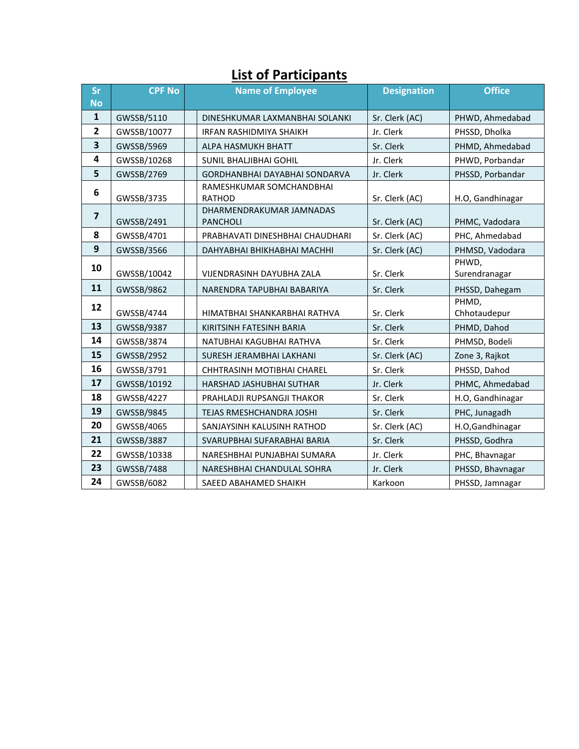| . Yn it yn eithpannes   |               |  |                                             |                    |                        |  |  |  |
|-------------------------|---------------|--|---------------------------------------------|--------------------|------------------------|--|--|--|
| <b>Sr</b>               | <b>CPF No</b> |  | <b>Name of Employee</b>                     | <b>Designation</b> | <b>Office</b>          |  |  |  |
| <b>No</b>               |               |  |                                             |                    |                        |  |  |  |
| $\mathbf{1}$            | GWSSB/5110    |  | DINESHKUMAR LAXMANBHAI SOLANKI              | Sr. Clerk (AC)     | PHWD, Ahmedabad        |  |  |  |
| 2                       | GWSSB/10077   |  | IRFAN RASHIDMIYA SHAIKH                     | Jr. Clerk          | PHSSD, Dholka          |  |  |  |
| $\overline{\mathbf{3}}$ | GWSSB/5969    |  | ALPA HASMUKH BHATT                          | Sr. Clerk          | PHMD, Ahmedabad        |  |  |  |
| 4                       | GWSSB/10268   |  | <b>SUNIL BHALJIBHAI GOHIL</b>               | Jr. Clerk          | PHWD, Porbandar        |  |  |  |
| 5                       | GWSSB/2769    |  | <b>GORDHANBHAI DAYABHAI SONDARVA</b>        | Jr. Clerk          | PHSSD, Porbandar       |  |  |  |
| 6                       | GWSSB/3735    |  | RAMESHKUMAR SOMCHANDBHAI<br><b>RATHOD</b>   | Sr. Clerk (AC)     | H.O, Gandhinagar       |  |  |  |
| $\overline{\mathbf{z}}$ | GWSSB/2491    |  | DHARMENDRAKUMAR JAMNADAS<br><b>PANCHOLI</b> | Sr. Clerk (AC)     | PHMC, Vadodara         |  |  |  |
| 8                       | GWSSB/4701    |  | PRABHAVATI DINESHBHAI CHAUDHARI             | Sr. Clerk (AC)     | PHC, Ahmedabad         |  |  |  |
| $\boldsymbol{9}$        | GWSSB/3566    |  | DAHYABHAI BHIKHABHAI MACHHI                 | Sr. Clerk (AC)     | PHMSD, Vadodara        |  |  |  |
| 10                      | GWSSB/10042   |  | <b>VIJENDRASINH DAYUBHA ZALA</b>            | Sr. Clerk          | PHWD,<br>Surendranagar |  |  |  |
| 11                      | GWSSB/9862    |  | NARENDRA TAPUBHAI BABARIYA                  | Sr. Clerk          | PHSSD, Dahegam         |  |  |  |
| 12                      | GWSSB/4744    |  | HIMATBHAI SHANKARBHAI RATHVA                | Sr. Clerk          | PHMD,<br>Chhotaudepur  |  |  |  |
| 13                      | GWSSB/9387    |  | KIRITSINH FATESINH BARIA                    | Sr. Clerk          | PHMD, Dahod            |  |  |  |
| 14                      | GWSSB/3874    |  | NATUBHAI KAGUBHAI RATHVA                    | Sr. Clerk          | PHMSD, Bodeli          |  |  |  |
| 15                      | GWSSB/2952    |  | SURESH JERAMBHAI LAKHANI                    | Sr. Clerk (AC)     | Zone 3, Rajkot         |  |  |  |
| 16                      | GWSSB/3791    |  | <b>CHHTRASINH MOTIBHAI CHAREL</b>           | Sr. Clerk          | PHSSD, Dahod           |  |  |  |
| 17                      | GWSSB/10192   |  | HARSHAD JASHUBHAI SUTHAR                    | Jr. Clerk          | PHMC, Ahmedabad        |  |  |  |
| 18                      | GWSSB/4227    |  | PRAHLADJI RUPSANGJI THAKOR                  | Sr. Clerk          | H.O, Gandhinagar       |  |  |  |
| 19                      | GWSSB/9845    |  | TEJAS RMESHCHANDRA JOSHI                    | Sr. Clerk          | PHC, Junagadh          |  |  |  |
| 20                      | GWSSB/4065    |  | SANJAYSINH KALUSINH RATHOD                  | Sr. Clerk (AC)     | H.O, Gandhinagar       |  |  |  |
| 21                      | GWSSB/3887    |  | SVARUPBHAI SUFARABHAI BARIA                 | Sr. Clerk          | PHSSD, Godhra          |  |  |  |
| 22                      | GWSSB/10338   |  | NARESHBHAI PUNJABHAI SUMARA                 | Jr. Clerk          | PHC, Bhavnagar         |  |  |  |
| 23                      | GWSSB/7488    |  | NARESHBHAI CHANDULAL SOHRA                  | Jr. Clerk          | PHSSD, Bhavnagar       |  |  |  |
| 24                      | GWSSB/6082    |  | SAEED ABAHAMED SHAIKH                       | Karkoon            | PHSSD, Jamnagar        |  |  |  |

#### **List of Participants**